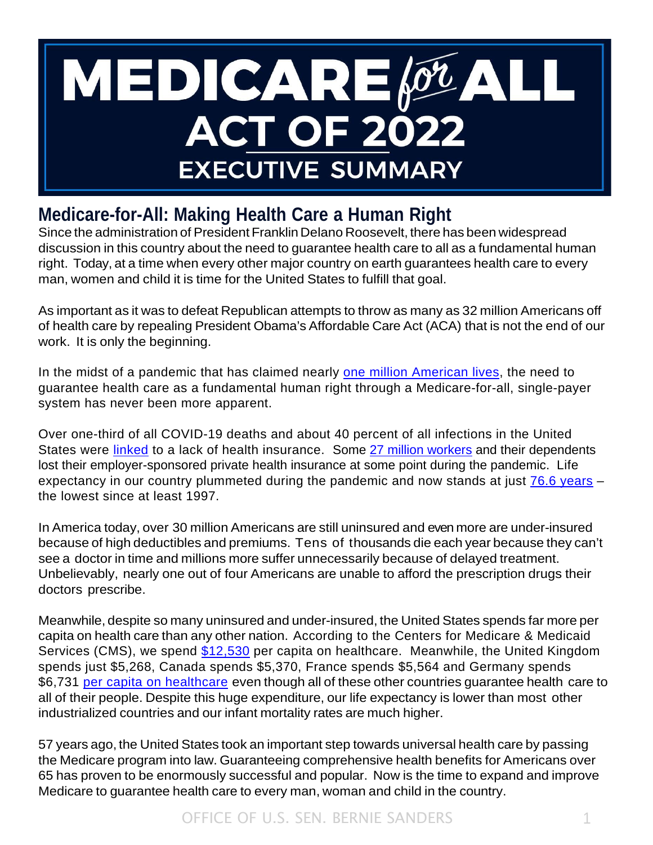# **MEDICARE** *OLA* **ACT OF 2022 EXECUTIVE SUMMARY**

# **Medicare-for-All: Making Health Care a Human Right**

Since the administration of President Franklin Delano Roosevelt, there has been widespread discussion in this country about the need to guarantee health care to all as a fundamental human right. Today, at a time when every other major country on earth guarantees health care to every man, women and child it is time for the United States to fulfill that goal.

As important as it was to defeat Republican attempts to throw as many as 32 million Americans off of health care by repealing President Obama's Affordable Care Act (ACA) that is not the end of our work. It is only the beginning.

In the midst of a pandemic that has claimed nearly [one million American lives,](https://covid.cdc.gov/covid-data-tracker/#datatracker-home) the need to guarantee health care as a fundamental human right through a Medicare-for-all, single-payer system has never been more apparent.

Over one-third of all COVID-19 deaths and about 40 percent of all infections in the United States were *[linked](https://familiesusa.org/resources/the-catastrophic-cost-of-uninsurance-covid-19-cases-and-deaths-closely-tied-to-americas-health-coverage-gaps/)* to a lack of health insurance. Some [27 million workers](https://www.commonwealthfund.org/blog/2021/update-how-many-americans-have-lost-jobs-employer-health-coverage-during-pandemic) and their dependents lost their employer-sponsored private health insurance at some point during the pandemic. Life expectancy in our country plummeted during the pandemic and now stands at just [76.6 years](https://www.npr.org/sections/health-shots/2022/04/07/1091398423/u-s-life-expectancy-falls-for-2nd-year-in-a-row) the lowest since at least 1997.

In America today, over 30 million Americans are still uninsured and even more are under-insured because of high deductibles and premiums. Tens of thousands die each year because they can't see a doctor in time and millions more suffer unnecessarily because of delayed treatment. Unbelievably, nearly one out of four Americans are unable to afford the prescription drugs their doctors prescribe.

Meanwhile, despite so many uninsured and under-insured, the United States spends far more per capita on health care than any other nation. According to the Centers for Medicare & Medicaid Services (CMS), we spend [\\$12,530](https://www.cms.gov/Research-Statistics-Data-and-Systems/Statistics-Trends-and-Reports/NationalHealthExpendData/NHE-Fact-Sheet) per capita on healthcare. Meanwhile, the United Kingdom spends just \$5,268, Canada spends \$5,370, France spends \$5,564 and Germany spends \$6,731 [per capita on healthcare](https://data.oecd.org/healthres/health-spending.htm) even though all of these other countries guarantee health care to all of their people. Despite this huge expenditure, our life expectancy is lower than most other industrialized countries and our infant mortality rates are much higher.

57 years ago, the United States took an important step towards universal health care by passing the Medicare program into law. Guaranteeing comprehensive health benefits for Americans over 65 has proven to be enormously successful and popular. Now is the time to expand and improve Medicare to guarantee health care to every man, woman and child in the country.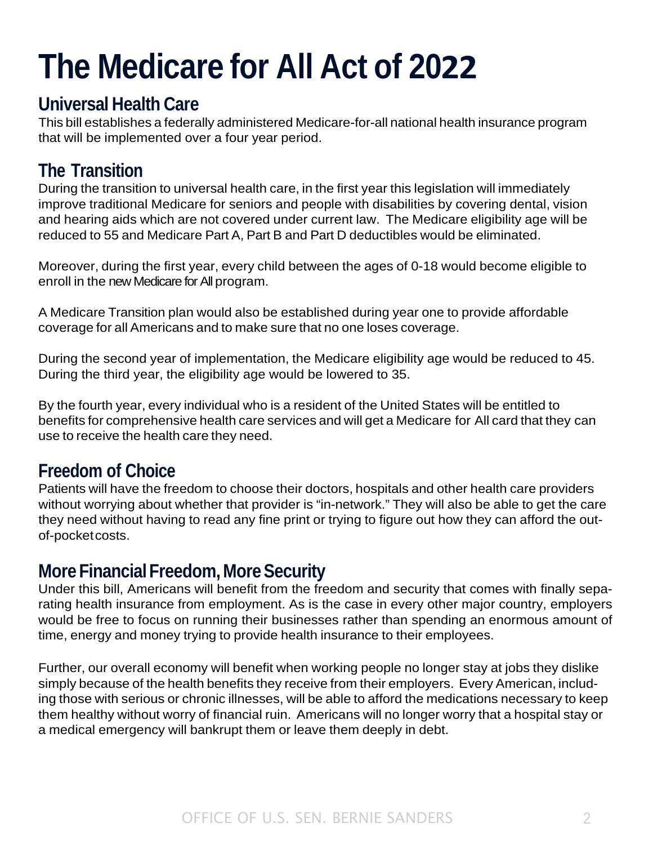# **The Medicare for All Act of 2022**

#### **Universal Health Care**

This bill establishes a federally administered Medicare-for-all national health insurance program that will be implemented over a four year period.

# **The Transition**

During the transition to universal health care, in the first year this legislation will immediately improve traditional Medicare for seniors and people with disabilities by covering dental, vision and hearing aids which are not covered under current law. The Medicare eligibility age will be reduced to 55 and Medicare Part A, Part B and Part D deductibles would be eliminated.

Moreover, during the first year, every child between the ages of 0-18 would become eligible to enroll in the new Medicare for All program.

A Medicare Transition plan would also be established during year one to provide affordable coverage for all Americans and to make sure that no one loses coverage.

During the second year of implementation, the Medicare eligibility age would be reduced to 45. During the third year, the eligibility age would be lowered to 35.

By the fourth year, every individual who is a resident of the United States will be entitled to benefits for comprehensive health care services and will get a Medicare for All card that they can use to receive the health care they need.

# **Freedom of Choice**

Patients will have the freedom to choose their doctors, hospitals and other health care providers without worrying about whether that provider is "in-network." They will also be able to get the care they need without having to read any fine print or trying to figure out how they can afford the outof-pocketcosts.

### **More Financial Freedom, More Security**

Under this bill, Americans will benefit from the freedom and security that comes with finally separating health insurance from employment. As is the case in every other major country, employers would be free to focus on running their businesses rather than spending an enormous amount of time, energy and money trying to provide health insurance to their employees.

Further, our overall economy will benefit when working people no longer stay at jobs they dislike simply because of the health benefits they receive from their employers. Every American, including those with serious or chronic illnesses, will be able to afford the medications necessary to keep them healthy without worry of financial ruin. Americans will no longer worry that a hospital stay or a medical emergency will bankrupt them or leave them deeply in debt.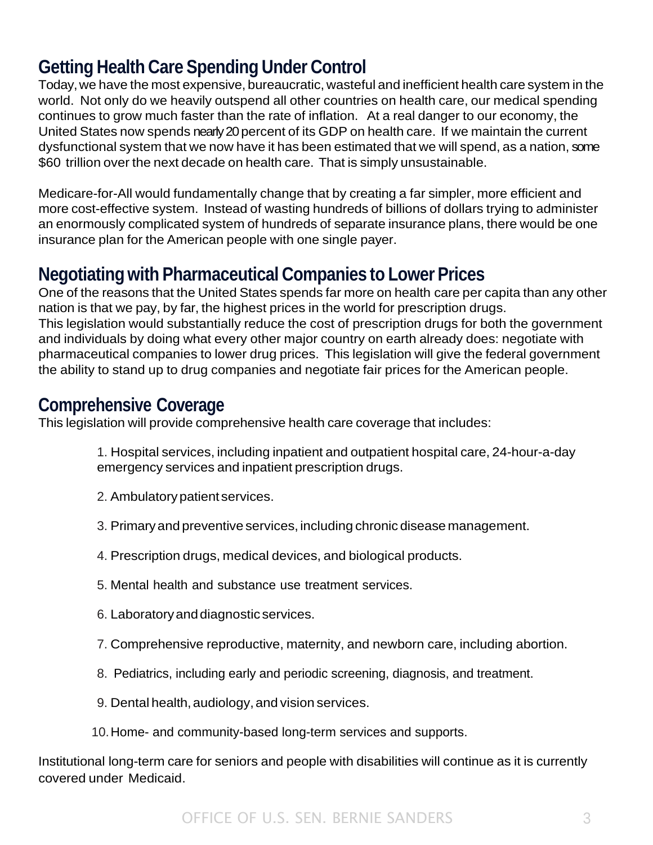# **Getting HealthCare SpendingUnderControl**

Today, we have the most expensive, bureaucratic, wasteful and inefficient health care system in the world. Not only do we heavily outspend all other countries on health care, our medical spending continues to grow much faster than the rate of inflation. At a real danger to our economy, the United States now spends nearly 20percent of its GDP on health care. If we maintain the current dysfunctional system that we now have it has been estimated that we will spend, as a nation, some \$60 trillion over the next decade on health care. That is simply unsustainable.

Medicare-for-All would fundamentally change that by creating a far simpler, more efficient and more cost-effective system. Instead of wasting hundreds of billions of dollars trying to administer an enormously complicated system of hundreds of separate insurance plans, there would be one insurance plan for the American people with one single payer.

#### **Negotiatingwith Pharmaceutical Companies to Lower Prices**

One of the reasons that the United States spends far more on health care per capita than any other nation is that we pay, by far, the highest prices in the world for prescription drugs. This legislation would substantially reduce the cost of prescription drugs for both the government and individuals by doing what every other major country on earth already does: negotiate with pharmaceutical companies to lower drug prices. This legislation will give the federal government the ability to stand up to drug companies and negotiate fair prices for the American people.

#### **Comprehensive Coverage**

This legislation will provide comprehensive health care coverage that includes:

1. Hospital services, including inpatient and outpatient hospital care, 24-hour-a-day emergency services and inpatient prescription drugs.

- 2. Ambulatorypatient services.
- 3. Primaryand preventive services,including chronic disease management.
- 4. Prescription drugs, medical devices, and biological products.
- 5. Mental health and substance use treatment services.
- 6. Laboratoryanddiagnostic services.
- 7. Comprehensive reproductive, maternity, and newborn care, including abortion.
- 8. Pediatrics, including early and periodic screening, diagnosis, and treatment.
- 9. Dental health, audiology, and vision services.
- 10.Home- and community-based long-term services and supports.

Institutional long-term care for seniors and people with disabilities will continue as it is currently covered under Medicaid.